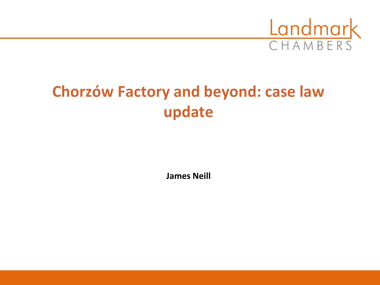

# **Chorzów Factory and beyond: case law update**

**James Neill**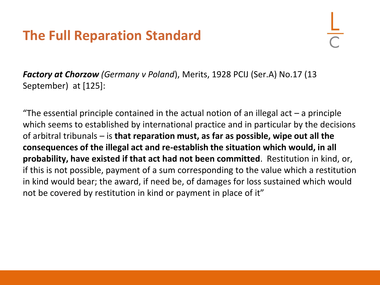## **The Full Reparation Standard**

*Factory at Chorzow (Germany v Poland*), Merits, 1928 PCIJ (Ser.A) No.17 (13 September) at [125]:

"The essential principle contained in the actual notion of an illegal act  $-$  a principle which seems to established by international practice and in particular by the decisions of arbitral tribunals – is **that reparation must, as far as possible, wipe out all the consequences of the illegal act and re-establish the situation which would, in all probability, have existed if that act had not been committed**. Restitution in kind, or, if this is not possible, payment of a sum corresponding to the value which a restitution in kind would bear; the award, if need be, of damages for loss sustained which would not be covered by restitution in kind or payment in place of it"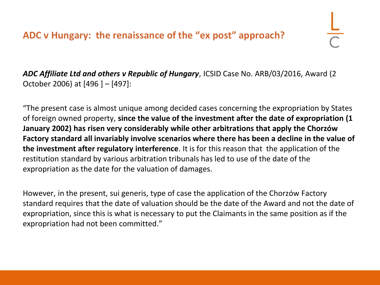*ADC Affiliate Ltd and others v Republic of Hungary*, ICSID Case No. ARB/03/2016, Award (2 October 2006) at [496 ] – [497]:

"The present case is almost unique among decided cases concerning the expropriation by States of foreign owned property, **since the value of the investment after the date of expropriation (1 January 2002) has risen very considerably while other arbitrations that apply the Chorzów Factory standard all invariably involve scenarios where there has been a decline in the value of the investment after regulatory interference**. It is for this reason that the application of the restitution standard by various arbitration tribunals has led to use of the date of the expropriation as the date for the valuation of damages.

However, in the present, sui generis, type of case the application of the Chorzów Factory standard requires that the date of valuation should be the date of the Award and not the date of expropriation, since this is what is necessary to put the Claimants in the same position as if the expropriation had not been committed."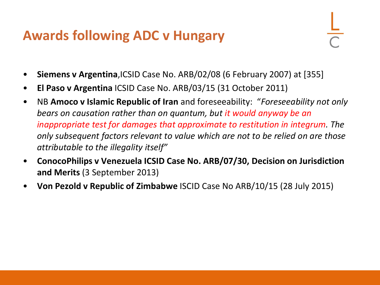## **Awards following ADC v Hungary**

- **Siemens v Argentina**,ICSID Case No. ARB/02/08 (6 February 2007) at [355]
- **El Paso v Argentina** ICSID Case No. ARB/03/15 (31 October 2011)
- NB **Amoco v Islamic Republic of Iran** and foreseeability: "*Foreseeability not only bears on causation rather than on quantum, but it would anyway be an inappropriate test for damages that approximate to restitution in integrum. The only subsequent factors relevant to value which are not to be relied on are those attributable to the illegality itself"*
- **ConocoPhilips v Venezuela ICSID Case No. ARB/07/30, Decision on Jurisdiction and Merits** (3 September 2013)
- **Von Pezold v Republic of Zimbabwe** ISCID Case No ARB/10/15 (28 July 2015)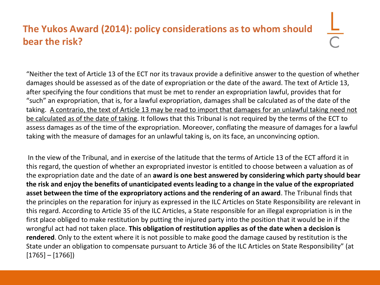### **The Yukos Award (2014): policy considerations as to whom should bear the risk?**

"Neither the text of Article 13 of the ECT nor its travaux provide a definitive answer to the question of whether damages should be assessed as of the date of expropriation or the date of the award. The text of Article 13, after specifying the four conditions that must be met to render an expropriation lawful, provides that for "such" an expropriation, that is, for a lawful expropriation, damages shall be calculated as of the date of the taking. A contrario, the text of Article 13 may be read to import that damages for an unlawful taking need not be calculated as of the date of taking. It follows that this Tribunal is not required by the terms of the ECT to assess damages as of the time of the expropriation. Moreover, conflating the measure of damages for a lawful taking with the measure of damages for an unlawful taking is, on its face, an unconvincing option.

In the view of the Tribunal, and in exercise of the latitude that the terms of Article 13 of the ECT afford it in this regard, the question of whether an expropriated investor is entitled to choose between a valuation as of the expropriation date and the date of an **award is one best answered by considering which party should bear the risk and enjoy the benefits of unanticipated events leading to a change in the value of the expropriated asset between the time of the expropriatory actions and the rendering of an award**. The Tribunal finds that the principles on the reparation for injury as expressed in the ILC Articles on State Responsibility are relevant in this regard. According to Article 35 of the ILC Articles, a State responsible for an illegal expropriation is in the first place obliged to make restitution by putting the injured party into the position that it would be in if the wrongful act had not taken place. **This obligation of restitution applies as of the date when a decision is rendered**. Only to the extent where it is not possible to make good the damage caused by restitution is the State under an obligation to compensate pursuant to Article 36 of the ILC Articles on State Responsibility" (at  $[1765] - [1766]$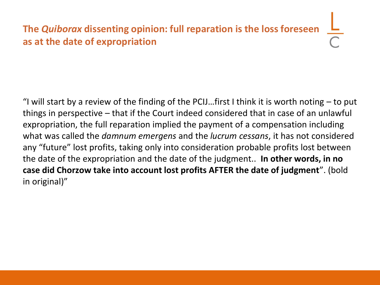## **The** *Quiborax* **dissenting opinion: full reparation is the loss foreseen as at the date of expropriation**

"I will start by a review of the finding of the PCIJ...first I think it is worth noting  $-$  to put things in perspective – that if the Court indeed considered that in case of an unlawful expropriation, the full reparation implied the payment of a compensation including what was called the *damnum emergens* and the *lucrum cessans*, it has not considered any "future" lost profits, taking only into consideration probable profits lost between the date of the expropriation and the date of the judgment.. **In other words, in no case did Chorzow take into account lost profits AFTER the date of judgment**". (bold in original)"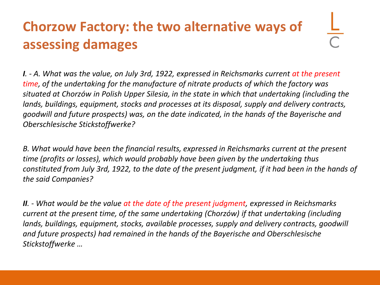# **Chorzow Factory: the two alternative ways of assessing damages**

*I. - A. What was the value, on July 3rd, 1922, expressed in Reichsmarks current at the present time, of the undertaking for the manufacture of nitrate products of which the factory was situated at Chorzów in Polish Upper Silesia, in the state in which that undertaking (including the lands, buildings, equipment, stocks and processes at its disposal, supply and delivery contracts, goodwill and future prospects) was, on the date indicated, in the hands of the Bayerische and Oberschlesische Stickstoffwerke?*

*B. What would have been the financial results, expressed in Reichsmarks current at the present time (profits or losses), which would probably have been given by the undertaking thus constituted from July 3rd, 1922, to the date of the present judgment, if it had been in the hands of the said Companies?*

*II. - What would be the value at the date of the present judgment, expressed in Reichsmarks current at the present time, of the same undertaking (Chorzów) if that undertaking (including lands, buildings, equipment, stocks, available processes, supply and delivery contracts, goodwill and future prospects) had remained in the hands of the Bayerische and Oberschlesische Stickstoffwerke …*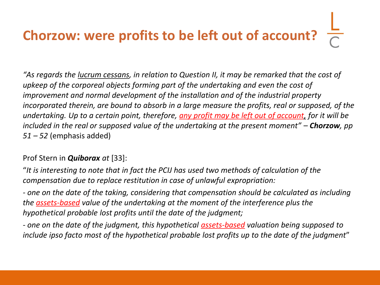# **Chorzow: were profits to be left out of account?**

*"As regards the lucrum cessans, in relation to Question II, it may be remarked that the cost of upkeep of the corporeal objects forming part of the undertaking and even the cost of improvement and normal development of the installation and of the industrial property incorporated therein, are bound to absorb in a large measure the profits, real or supposed, of the undertaking. Up to a certain point, therefore, any profit may be left out of account, for it will be included in the real or supposed value of the undertaking at the present moment" – Chorzow, pp 51 – 52* (emphasis added)

#### Prof Stern in *Quiborax at* [33]:

"*It is interesting to note that in fact the PCIJ has used two methods of calculation of the compensation due to replace restitution in case of unlawful expropriation:*

*- one on the date of the taking, considering that compensation should be calculated as including the assets-based value of the undertaking at the moment of the interference plus the hypothetical probable lost profits until the date of the judgment;*

*- one on the date of the judgment, this hypothetical assets-based valuation being supposed to include ipso facto most of the hypothetical probable lost profits up to the date of the judgment*"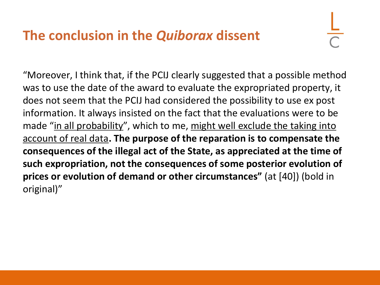## **The conclusion in the** *Quiborax* **dissent**

"Moreover, I think that, if the PCIJ clearly suggested that a possible method was to use the date of the award to evaluate the expropriated property, it does not seem that the PCIJ had considered the possibility to use ex post information. It always insisted on the fact that the evaluations were to be made "in all probability", which to me, might well exclude the taking into account of real data**. The purpose of the reparation is to compensate the consequences of the illegal act of the State, as appreciated at the time of such expropriation, not the consequences of some posterior evolution of prices or evolution of demand or other circumstances"** (at [40]) (bold in original)"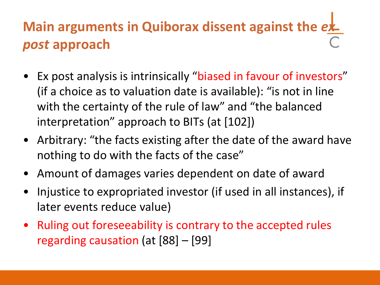# **Main arguments in Quiborax dissent against the ex***post* **approach**

- Ex post analysis is intrinsically "biased in favour of investors" (if a choice as to valuation date is available): "is not in line with the certainty of the rule of law" and "the balanced interpretation" approach to BITs (at [102])
- Arbitrary: "the facts existing after the date of the award have nothing to do with the facts of the case"
- Amount of damages varies dependent on date of award
- Injustice to expropriated investor (if used in all instances), if later events reduce value)
- Ruling out foreseeability is contrary to the accepted rules regarding causation (at [88] – [99]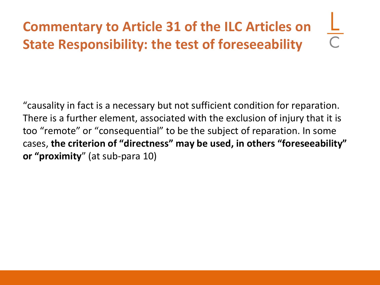# **Commentary to Article 31 of the ILC Articles on State Responsibility: the test of foreseeability**

"causality in fact is a necessary but not sufficient condition for reparation. There is a further element, associated with the exclusion of injury that it is too "remote" or "consequential" to be the subject of reparation. In some cases, **the criterion of "directness" may be used, in others "foreseeability" or "proximity**" (at sub-para 10)